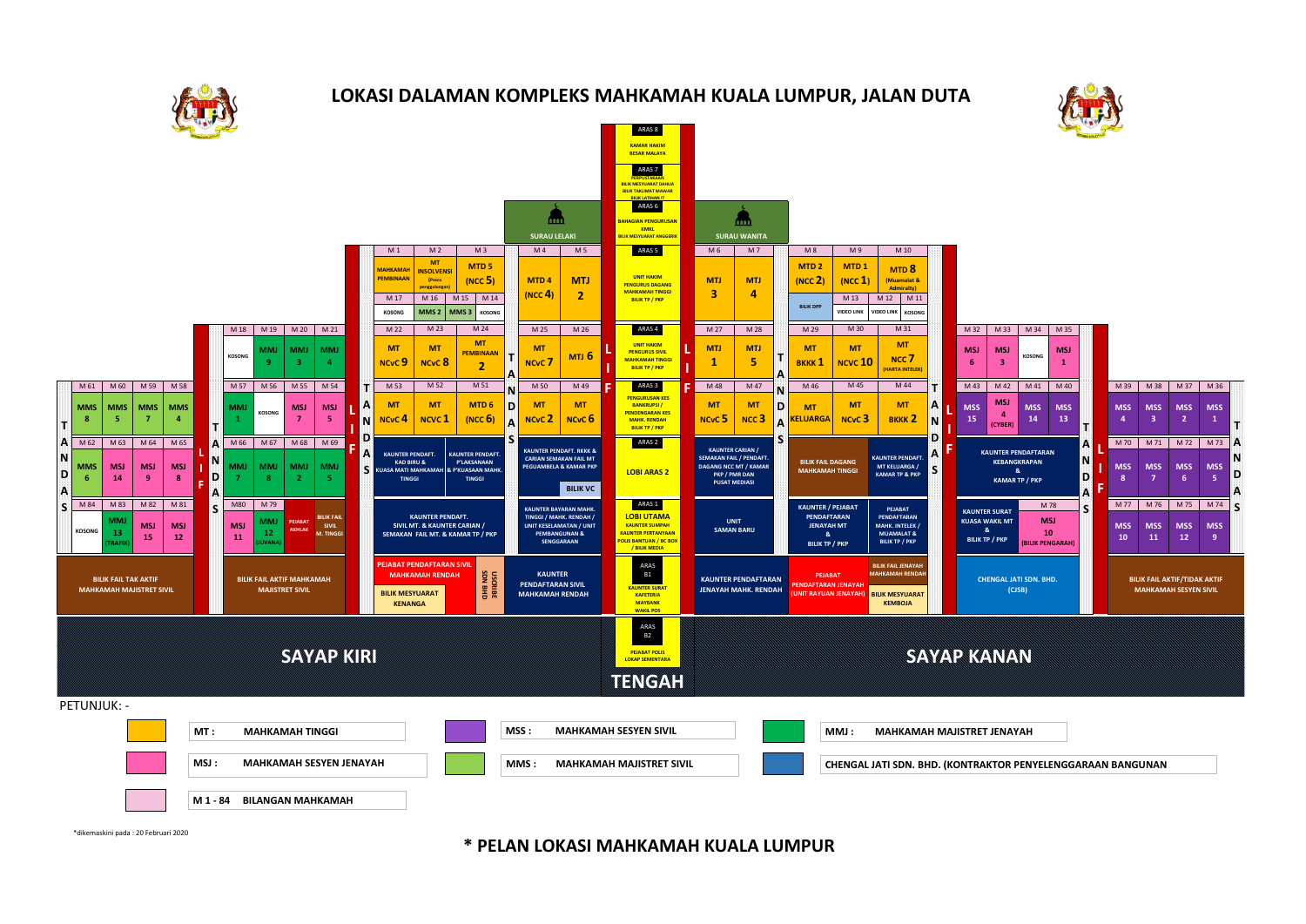

## **LOKASI DALAMAN KOMPLEKS MAHKAMAH KUALA LUMPUR, JALAN DUTA**



**\* PELAN LOKASI MAHKAMAH KUALA LUMPUR**